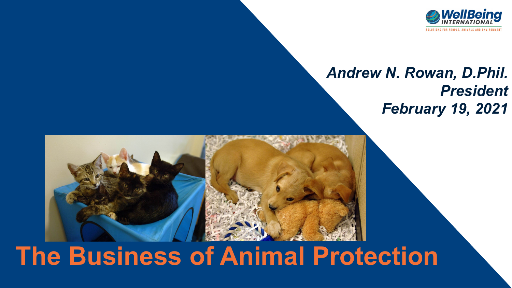

### *Andrew N. Rowan, D.Phil. President February 19, 2021*



# **The Business of Animal Protection**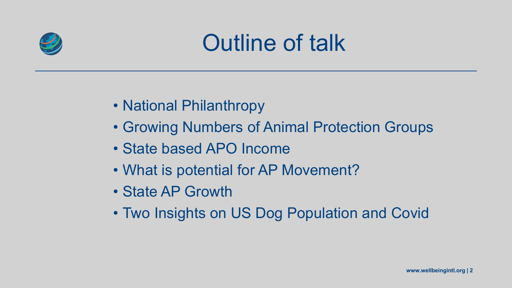

# Outline of talk

- National Philanthropy
- Growing Numbers of Animal Protection Groups
- State based APO Income
- What is potential for AP Movement?
- State AP Growth
- Two Insights on US Dog Population and Covid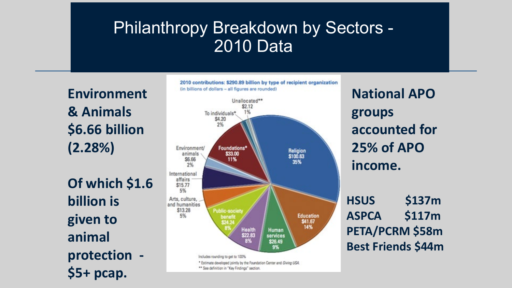### Philanthropy Breakdown by Sectors - 2010 Data

**Environment & Animals \$6.66 billion (2.28%)**

**Of which \$1.6 billion is given to animal protection - \$5+ pcap.**



**National APO groups accounted for 25% of APO income.**

**HSUS \$137m ASPCA \$117m PETA/PCRM \$58m Best Friends \$44m**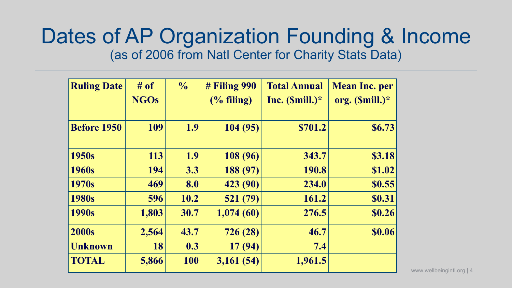### Dates of AP Organization Founding & Income (as of 2006 from Natl Center for Charity Stats Data)

| <b>Ruling Date</b> | # of        | $\frac{0}{0}$ | $#$ Filing 990 | <b>Total Annual</b> | <b>Mean Inc. per</b> |
|--------------------|-------------|---------------|----------------|---------------------|----------------------|
|                    | <b>NGOs</b> |               | $(\%$ filing)  | Inc. $(Smill.)^*$   | org. (\$mill.)*      |
|                    |             |               |                |                     |                      |
| <b>Before 1950</b> | 109         | 1.9           | 104(95)        | \$701.2             | \$6.73               |
|                    |             |               |                |                     |                      |
| 1950s              | 113         | 1.9           | 108 (96)       | 343.7               | \$3.18               |
| 1960s              | 194         | 3.3           | 188 (97)       | 190.8               | \$1.02               |
| 1970s              | 469         | 8.0           | 423 (90)       | 234.0               | \$0.55               |
| 1980s              | 596         | 10.2          | 521 (79)       | 161.2               | <b>\$0.31</b>        |
| 1990s              | 1,803       | 30.7          | 1,074(60)      | 276.5               | \$0.26               |
| <b>2000s</b>       | 2,564       | 43.7          | 726 (28)       | 46.7                | <b>\$0.06</b>        |
| <b>Unknown</b>     | 18          | 0.3           | 17(94)         | 7.4                 |                      |
| <b>TOTAL</b>       | 5,866       | 100           | 3,161(54)      | 1,961.5             |                      |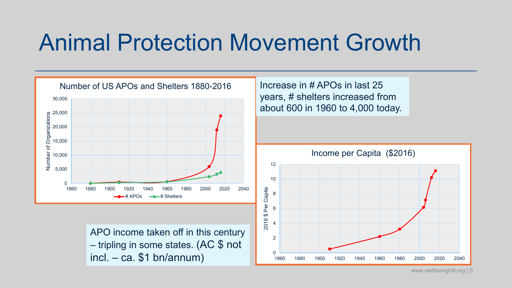## Animal Protection Movement Growth

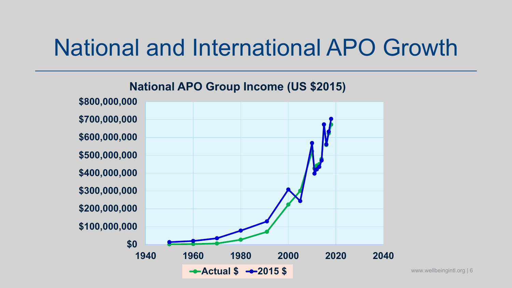# National and International APO Growth

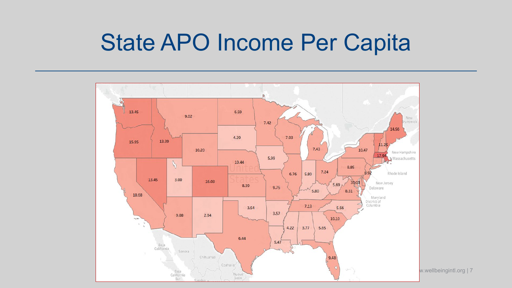### State APO Income Per Capita

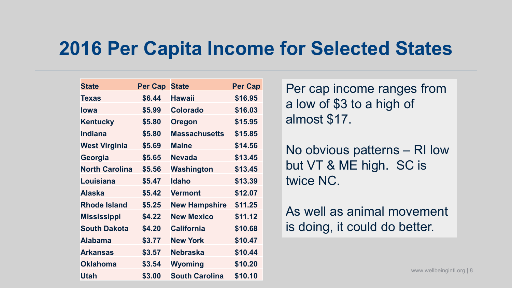### **2016 Per Capita Income for Selected States**

| <b>State</b>          | <b>Per Cap</b> | <b>State</b>          | <b>Per Cap</b> |
|-----------------------|----------------|-----------------------|----------------|
| <b>Texas</b>          | \$6.44         | <b>Hawaii</b>         | \$16.95        |
| <b>lowa</b>           | \$5.99         | <b>Colorado</b>       | \$16.03        |
| <b>Kentucky</b>       | \$5.80         | <b>Oregon</b>         | \$15.95        |
| <b>Indiana</b>        | \$5.80         | <b>Massachusetts</b>  | \$15.85        |
| <b>West Virginia</b>  | \$5.69         | <b>Maine</b>          | \$14.56        |
| Georgia               | \$5.65         | <b>Nevada</b>         | \$13.45        |
| <b>North Carolina</b> | \$5.56         | Washington            | \$13.45        |
| Louisiana             | \$5.47         | <b>Idaho</b>          | \$13.39        |
| <b>Alaska</b>         | \$5.42         | <b>Vermont</b>        | \$12.07        |
| <b>Rhode Island</b>   | \$5.25         | <b>New Hampshire</b>  | \$11.25        |
| <b>Mississippi</b>    | \$4.22         | <b>New Mexico</b>     | \$11.12        |
| <b>South Dakota</b>   | \$4.20         | <b>California</b>     | \$10.68        |
| <b>Alabama</b>        | \$3.77         | <b>New York</b>       | \$10.47        |
| <b>Arkansas</b>       | \$3.57         | <b>Nebraska</b>       | \$10.44        |
| <b>Oklahoma</b>       | \$3.54         | <b>Wyoming</b>        | \$10.20        |
| <b>Utah</b>           | \$3.00         | <b>South Carolina</b> | \$10.10        |

Per cap income ranges from a low of \$3 to a high of almost \$17.

No obvious patterns – RI low but VT & ME high. SC is twice NC.

As well as animal movement is doing, it could do better.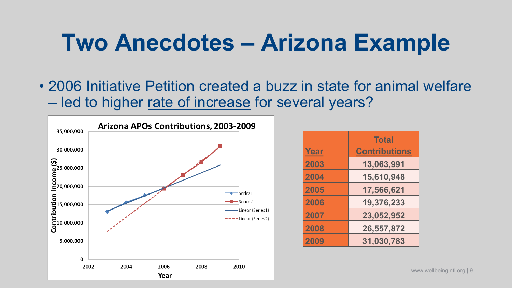## **Two Anecdotes – Arizona Example**

• 2006 Initiative Petition created a buzz in state for animal welfare – led to higher rate of increase for several years?



|      | <b>Total</b>         |
|------|----------------------|
| Year | <b>Contributions</b> |
| 2003 | 13,063,991           |
| 2004 | 15,610,948           |
| 2005 | 17,566,621           |
| 2006 | 19,376,233           |
| 2007 | 23,052,952           |
| 2008 | 26,557,872           |
| 2009 | 31,030,783           |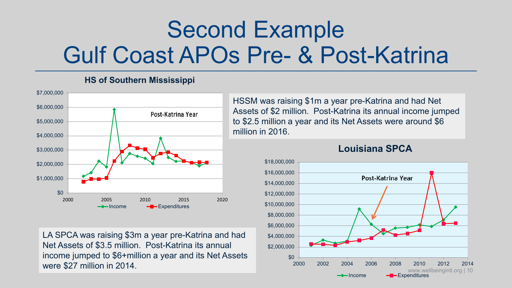# Second Example Gulf Coast APOs Pre- & Post-Katrina

#### **HS of Southern Mississippi**



LA SPCA was raising \$3m a year pre-Katrina and had Net Assets of \$3.5 million. Post-Katrina its annual income jumped to \$6+million a year and its Net Assets were \$27 million in 2014.

HSSM was raising \$1m a year pre-Katrina and had Net Assets of \$2 million. Post-Katrina its annual income jumped to \$2.5 million a year and its Net Assets were around \$6 million in 2016.

#### **Louisiana SPCA**

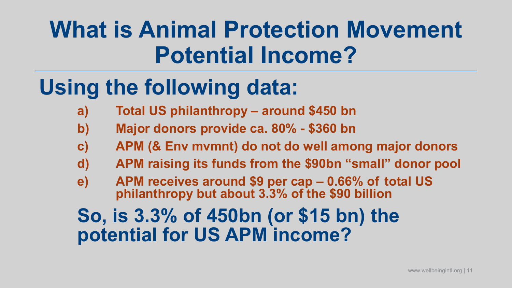# **What is Animal Protection Movement Potential Income?**

# **Using the following data:**

- **a) Total US philanthropy – around \$450 bn**
- **b) Major donors provide ca. 80% - \$360 bn**
- **c) APM (& Env mvmnt) do not do well among major donors**
- **d) APM raising its funds from the \$90bn "small" donor pool**
- **e) APM receives around \$9 per cap – 0.66% of total US philanthropy but about 3.3% of the \$90 billion**

### **So, is 3.3% of 450bn (or \$15 bn) the potential for US APM income?**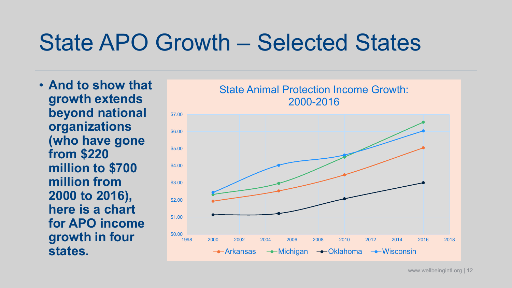### State APO Growth – Selected States

• **And to show that growth extends beyond national organizations (who have gone from \$220 million to \$700 million from 2000 to 2016), here is a chart for APO income growth in four states.** 

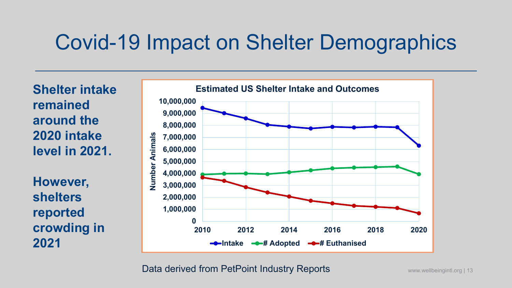### Covid-19 Impact on Shelter Demographics

**Shelter intake remained around the 2020 intake level in 2021.** 

**However, shelters reported crowding in 2021** 



Data derived from PetPoint Industry Reports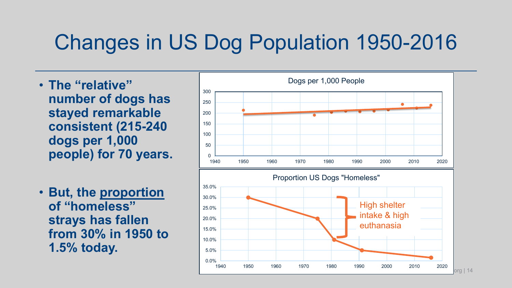### Changes in US Dog Population 1950-2016

- **The "relative" number of dogs has stayed remarkable consistent (215-240 dogs per 1,000 people) for 70 years.**
- **But, the proportion of "homeless" strays has fallen from 30% in 1950 to 1.5% today.**